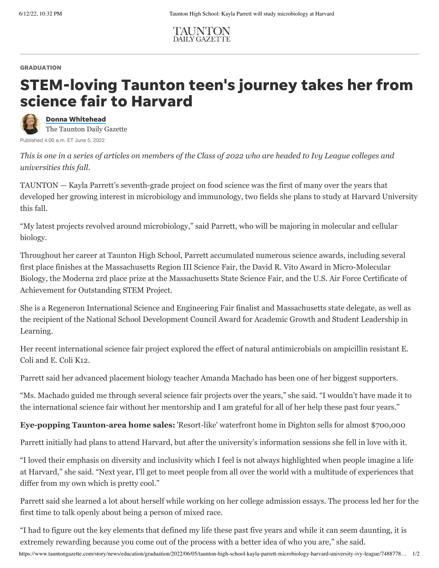

## **GRADUATION**

## STEM-loving Taunton teen's journey takes her from science fair to Harvard



Donna [Whitehead](https://www.tauntongazette.com/staff/3712910001/donna-whitehead/) The Taunton Daily Gazette

Published 4:00 a.m. ET June 5, 2022

*This is one in a series of articles on members of the Class of 2022 who are headed to Ivy League colleges and universities this fall.*

TAUNTON — Kayla Parrett's seventh-grade project on food science was the first of many over the years that developed her growing interest in microbiology and immunology, two fields she plans to study at [Harvard University](https://www.tauntongazette.com/story/news/education/2021/06/23/taunton-high-school-top-10-students-class-2021-graduates/7622044002/) this fall.

"My latest projects revolved around microbiology," said Parrett, who will be majoring in molecular and cellular biology.

Throughout her career at [Taunton High School,](https://www.tauntongazette.com/story/news/education/2022/05/27/taunton-high-school-teen-ted-talk-club-kids-mental-health-children-students/9793978002/) Parrett accumulated numerous science awards, including several first place finishes at the Massachusetts Region III Science Fair, the David R. Vito Award in Micro-Molecular Biology, the Moderna 2rd place prize at the Massachusetts State Science Fair, and the U.S. Air Force Certificate of Achievement for Outstanding STEM Project.

She is a Regeneron International Science and Engineering Fair finalist and Massachusetts state delegate, as well as the recipient of the National School Development Council Award for Academic Growth and Student Leadership in Learning.

Her recent international science fair project explored the effect of natural antimicrobials on ampicillin resistant E. Coli and E. Coli K12.

Parrett said her advanced placement biology teacher Amanda Machado has been one of her biggest supporters.

"Ms. Machado guided me through several science fair projects over the years," she said. "I wouldn't have made it to the international science fair without her mentorship and I am grateful for all of her help these past four years."

**Eye-popping Taunton-area home sales:** ['Resort-like' waterfront home in Dighton sells for almost \\$700,000](https://www.tauntongazette.com/story/business/real-estate/2022/05/30/real-estate-resort-like-waterfront-home-dighton-sells-almost-700-000-property-transfers-taunton/9943533002/)

Parrett initially had plans to attend Harvard, but after the university's information sessions she fell in love with it.

"I loved their emphasis on diversity and inclusivity which I feel is not always highlighted when people imagine a life at Harvard," she said. "Next year, I'll get to meet people from all over the world with a multitude of experiences that differ from my own which is pretty cool."

Parrett said she learned a lot about herself while working on her college admission essays. The process led her for the first time to talk openly about being a person of mixed race.

https://www.tauntongazette.com/story/news/education/graduation/2022/06/05/taunton-high-school-kayla-parrett-microbiology-harvard-university-ivy-league/7488778… 1/2 "I had to figure out the key elements that defined my life these past five years and while it can seem daunting, it is extremely rewarding because you come out of the process with a better idea of who you are," she said.